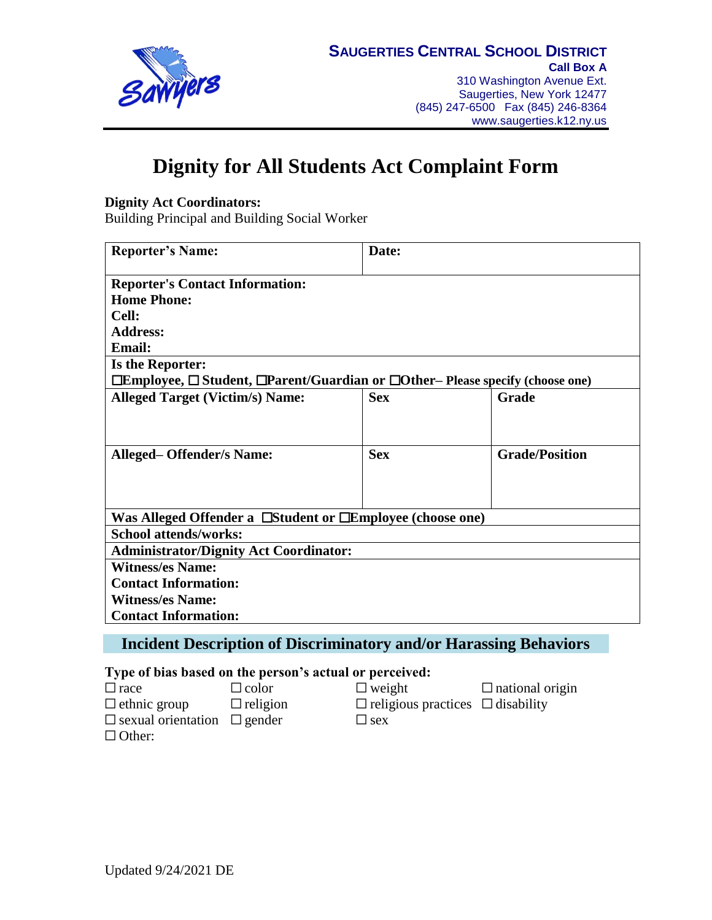

# **Dignity for All Students Act Complaint Form**

### **Dignity Act Coordinators:**

Building Principal and Building Social Worker

| <b>Reporter's Name:</b>                                                                              | Date:      |                       |  |
|------------------------------------------------------------------------------------------------------|------------|-----------------------|--|
| <b>Reporter's Contact Information:</b>                                                               |            |                       |  |
| <b>Home Phone:</b>                                                                                   |            |                       |  |
| Cell:                                                                                                |            |                       |  |
| <b>Address:</b>                                                                                      |            |                       |  |
| <b>Email:</b>                                                                                        |            |                       |  |
| <b>Is the Reporter:</b>                                                                              |            |                       |  |
| $\Box$ Employee, $\Box$ Student, $\Box$ Parent/Guardian or $\Box$ Other– Please specify (choose one) |            |                       |  |
| <b>Alleged Target (Victim/s) Name:</b>                                                               | <b>Sex</b> | Grade                 |  |
|                                                                                                      |            |                       |  |
|                                                                                                      |            |                       |  |
| <b>Alleged-Offender/s Name:</b>                                                                      | <b>Sex</b> | <b>Grade/Position</b> |  |
|                                                                                                      |            |                       |  |
|                                                                                                      |            |                       |  |
|                                                                                                      |            |                       |  |
| Was Alleged Offender a Estudent or Elemployee (choose one)                                           |            |                       |  |
| <b>School attends/works:</b>                                                                         |            |                       |  |
| <b>Administrator/Dignity Act Coordinator:</b>                                                        |            |                       |  |
| <b>Witness/es Name:</b>                                                                              |            |                       |  |
| <b>Contact Information:</b>                                                                          |            |                       |  |
| <b>Witness/es Name:</b>                                                                              |            |                       |  |
| <b>Contact Information:</b>                                                                          |            |                       |  |
|                                                                                                      |            |                       |  |

### **Incident Description of Discriminatory and/or Harassing Behaviors**

### **Type of bias based on the person's actual or perceived:**

| $\Box$ race                             | $\Box$ color    | $\Box$ weight                                | $\Box$ national origin |
|-----------------------------------------|-----------------|----------------------------------------------|------------------------|
| $\Box$ ethnic group                     | $\Box$ religion | $\Box$ religious practices $\Box$ disability |                        |
| $\Box$ sexual orientation $\Box$ gender |                 | $\sqcup$ sex                                 |                        |
| $\Box$ Other:                           |                 |                                              |                        |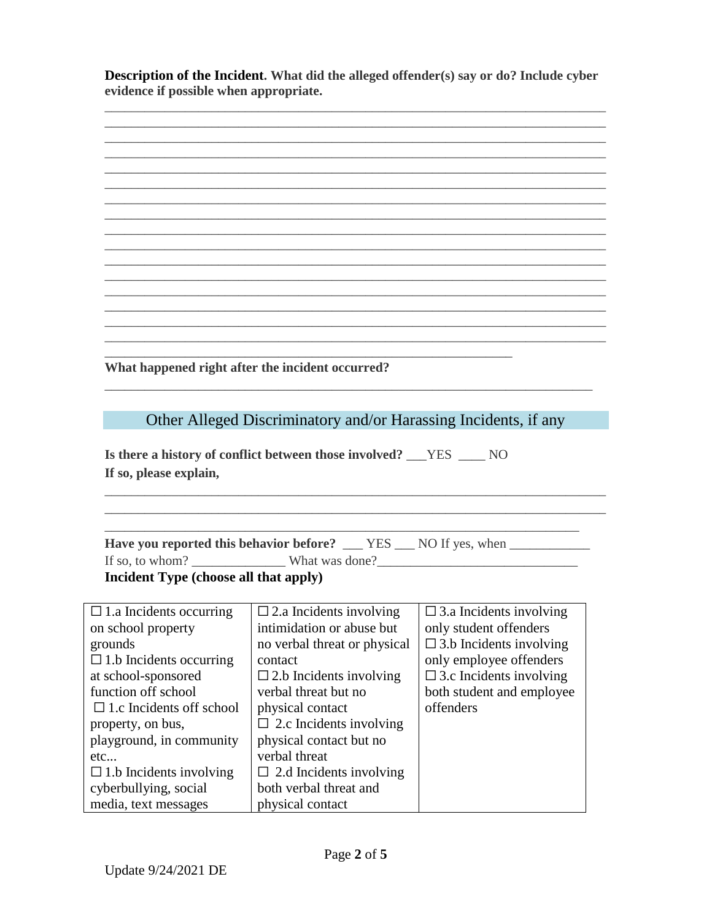**Description of the Incident. What did the alleged offender(s) say or do? Include cyber evidence if possible when appropriate.**

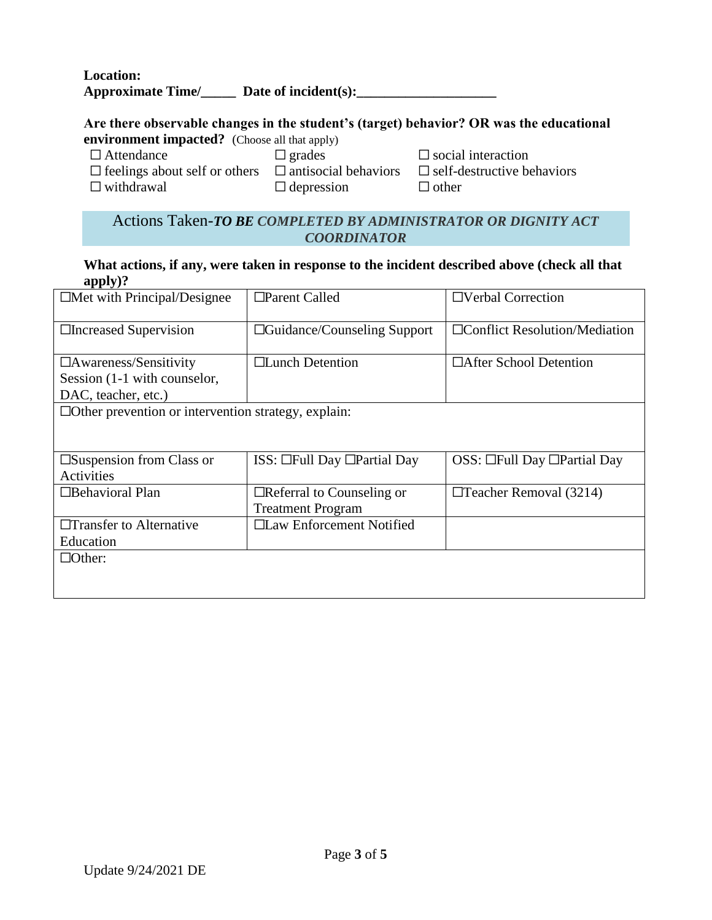**Location: Approximate Time/\_\_\_\_\_ Date of incident(s):\_\_\_\_\_\_\_\_\_\_\_\_\_\_\_\_\_\_\_\_**

### **Are there observable changes in the student's (target) behavior? OR was the educational**

**environment impacted?** (Choose all that apply)

☐ Attendance ☐ grades ☐ social interaction

☐ feelings about self or others ☐ antisocial behaviors ☐ self-destructive behaviors  $\Box$  depression  $\Box$  other

### Actions Taken-*TO BE COMPLETED BY ADMINISTRATOR OR DIGNITY ACT COORDINATOR*

#### **What actions, if any, were taken in response to the incident described above (check all that apply)?**

| $\Box$ Met with Principal/Designee                         | $\Box$ Parent Called                    | $\Box$ Verbal Correction                |
|------------------------------------------------------------|-----------------------------------------|-----------------------------------------|
| □Increased Supervision                                     | $\Box$ Guidance/Counseling Support      | $\Box$ Conflict Resolution/Mediation    |
| $\Box$ Awareness/Sensitivity                               | $\Box$ Lunch Detention                  | □After School Detention                 |
| Session (1-1 with counselor,                               |                                         |                                         |
| DAC, teacher, etc.)                                        |                                         |                                         |
| $\Box$ Other prevention or intervention strategy, explain: |                                         |                                         |
|                                                            |                                         |                                         |
| $\square$ Suspension from Class or                         | $ISS: \Box Full$ Day $\Box Partial$ Day | OSS: $\Box$ Full Day $\Box$ Partial Day |
| Activities                                                 |                                         |                                         |
| $\Box$ Behavioral Plan                                     | $\Box$ Referral to Counseling or        | $\Box$ Teacher Removal (3214)           |
|                                                            | <b>Treatment Program</b>                |                                         |
| □Transfer to Alternative                                   | □Law Enforcement Notified               |                                         |
| Education                                                  |                                         |                                         |
| $\Box$ Other:                                              |                                         |                                         |
|                                                            |                                         |                                         |
|                                                            |                                         |                                         |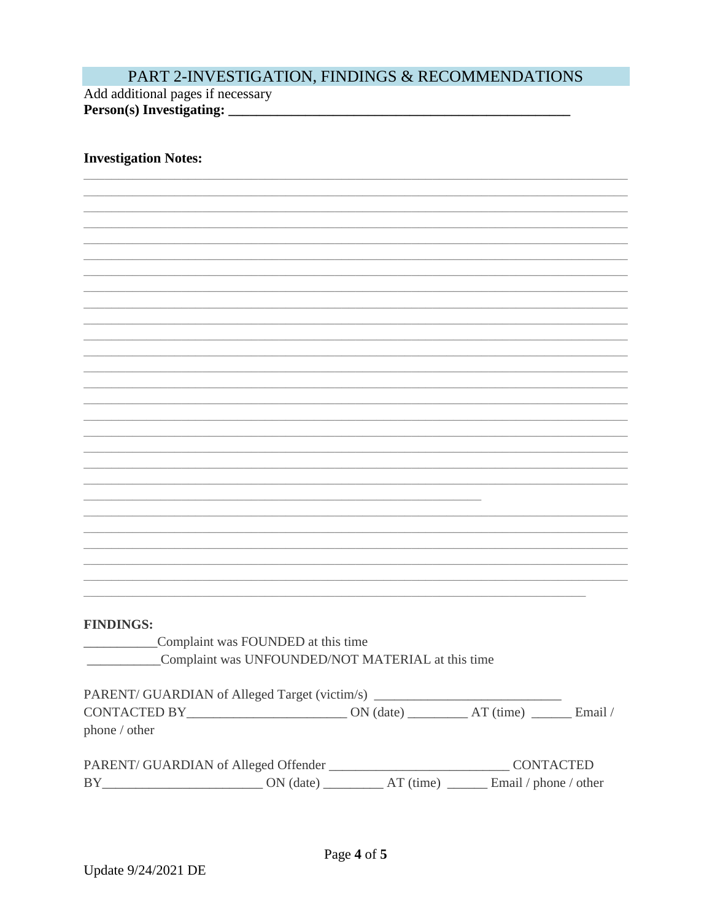## PART 2-INVESTIGATION, FINDINGS & RECOMMENDATIONS

Add additional pages if necessary Person(s) Investigating:

### **Investigation Notes:**

| <b>FINDINGS:</b> |             |  |
|------------------|-------------|--|
|                  | Complaint w |  |

vas FOUNDED at this time Complaint was UNFOUNDED/NOT MATERIAL at this time

| PARENT/ GUARDIAN of Alleged Target (victim/s) |             |             |                |
|-----------------------------------------------|-------------|-------------|----------------|
| <b>CONTACTED BY</b>                           | $ON$ (date) | $AT$ (time) | Email $\angle$ |
| phone / other                                 |             |             |                |

| PARENT/ GUARDIAN of Alleged Offender |           |             | <b>CONTACTED</b>      |
|--------------------------------------|-----------|-------------|-----------------------|
| <b>BY</b>                            | ON (date) | $AT$ (time) | Email / phone / other |